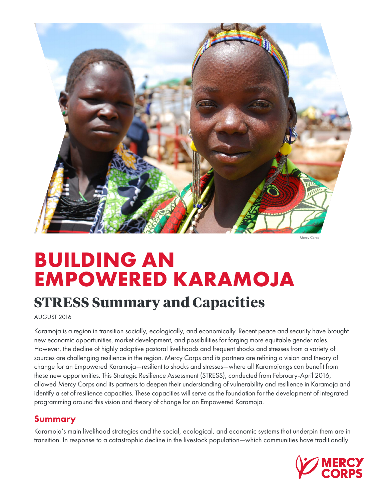

Mercy Corps

# **BUILDING AN EMPOWERED KARAMOJA**

# **STRESS Summary and Capacities**

AUGUST 2016

Karamoja is a region in transition socially, ecologically, and economically. Recent peace and security have brought new economic opportunities, market development, and possibilities for forging more equitable gender roles. However, the decline of highly adaptive pastoral livelihoods and frequent shocks and stresses from a variety of sources are challenging resilience in the region. Mercy Corps and its partners are refining a vision and theory of change for an Empowered Karamoja—resilient to shocks and stresses—where all Karamojongs can benefit from these new opportunities. This Strategic Resilience Assessment (STRESS), conducted from February-April 2016, allowed Mercy Corps and its partners to deepen their understanding of vulnerability and resilience in Karamoja and identify a set of resilience capacities. These capacities will serve as the foundation for the development of integrated programming around this vision and theory of change for an Empowered Karamoja.

# Summary

Karamoja's main livelihood strategies and the social, ecological, and economic systems that underpin them are in transition. In response to a catastrophic decline in the livestock population—which communities have traditionally

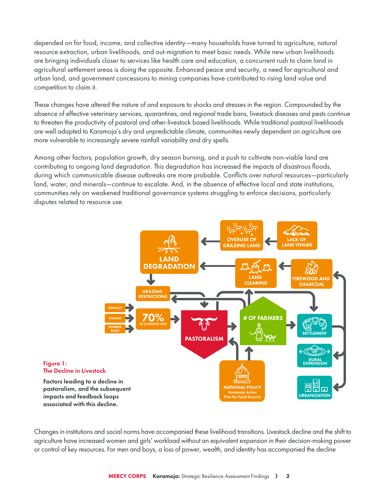depended on for food, income, and collective identity—many households have turned to agriculture, natural resource extraction, urban livelihoods, and out-migration to meet basic needs. While new urban livelihoods are bringing individuals closer to services like health care and education, a concurrent rush to claim land in agricultural settlement areas is doing the opposite. Enhanced peace and security, a need for agricultural and urban land, and government concessions to mining companies have contributed to rising land value and competition to claim it.

These changes have altered the nature of and exposure to shocks and stresses in the region. Compounded by the absence of effective veterinary services, quarantines, and regional trade bans, livestock diseases and pests continue to threaten the productivity of pastoral and other-livestock based livelihoods. While traditional pastoral livelihoods are well adapted to Karamoja's dry and unpredictable climate, communities newly dependent on agriculture are more vulnerable to increasingly severe rainfall variability and dry spells.

Among other factors, population growth, dry season burning, and a push to cultivate non-viable land are contributing to ongoing land degradation. This degradation has increased the impacts of disastrous floods, during which communicable disease outbreaks are more probable. Conflicts over natural resources—particularly land, water, and minerals—continue to escalate. And, in the absence of effective local and state institutions, communities rely on weakened traditional governance systems struggling to enforce decisions, particularly disputes related to resource use.



Changes in institutions and social norms have accompanied these livelihood transitions. Livestock decline and the shift to agriculture have increased women and girls' workload without an equivalent expansion in their decision-making power or control of key resources. For men and boys, a loss of power, wealth, and identity has accompanied the decline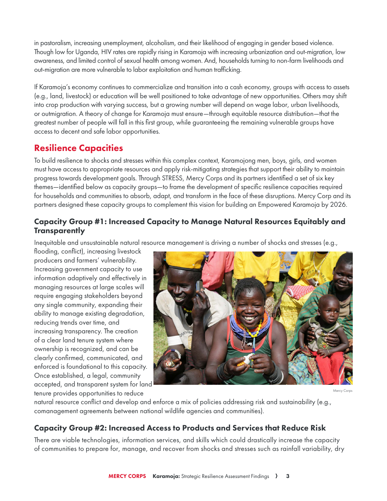in pastoralism, increasing unemployment, alcoholism, and their likelihood of engaging in gender based violence. Though low for Uganda, HIV rates are rapidly rising in Karamoja with increasing urbanization and out-migration, low awareness, and limited control of sexual health among women. And, households turning to non-farm livelihoods and out-migration are more vulnerable to labor exploitation and human trafficking.

If Karamoja's economy continues to commercialize and transition into a cash economy, groups with access to assets (e.g., land, livestock) or education will be well positioned to take advantage of new opportunities. Others may shift into crop production with varying success, but a growing number will depend on wage labor, urban livelihoods, or outmigration. A theory of change for Karamoja must ensure—through equitable resource distribution—that the greatest number of people will fall in this first group, while guaranteeing the remaining vulnerable groups have access to decent and safe labor opportunities.

## Resilience Capacities

To build resilience to shocks and stresses within this complex context, Karamojong men, boys, girls, and women must have access to appropriate resources and apply risk-mitigating strategies that support their ability to maintain progress towards development goals. Through STRESS, Mercy Corps and its partners identified a set of six key themes—identified below as capacity groups—to frame the development of specific resilience capacities required for households and communities to absorb, adapt, and transform in the face of these disruptions. Mercy Corp and its partners designed these capacity groups to complement this vision for building an Empowered Karamoja by 2026.

#### Capacity Group #1: Increased Capacity to Manage Natural Resources Equitably and **Transparently**

Inequitable and unsustainable natural resource management is driving a number of shocks and stresses (e.g.,

flooding, conflict), increasing livestock producers and farmers' vulnerability. Increasing government capacity to use information adaptively and effectively in managing resources at large scales will require engaging stakeholders beyond any single community, expanding their ability to manage existing degradation, reducing trends over time, and increasing transparency. The creation of a clear land tenure system where ownership is recognized, and can be clearly confirmed, communicated, and enforced is foundational to this capacity. Once established, a legal, community accepted, and transparent system for land tenure provides opportunities to reduce



Mercy Corps

natural resource conflict and develop and enforce a mix of policies addressing risk and sustainability (e.g., comanagement agreements between national wildlife agencies and communities).

#### Capacity Group #2: Increased Access to Products and Services that Reduce Risk

There are viable technologies, information services, and skills which could drastically increase the capacity of communities to prepare for, manage, and recover from shocks and stresses such as rainfall variability, dry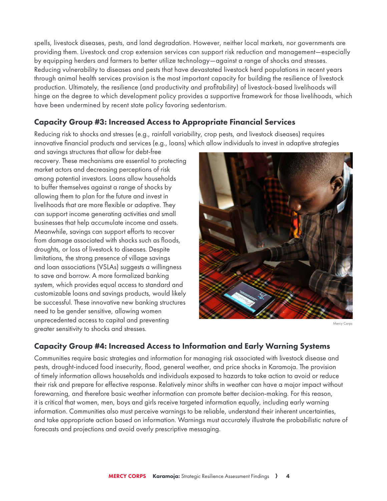spells, livestock diseases, pests, and land degradation. However, neither local markets, nor governments are providing them. Livestock and crop extension services can support risk reduction and management—especially by equipping herders and farmers to better utilize technology—against a range of shocks and stresses. Reducing vulnerability to diseases and pests that have devastated livestock herd populations in recent years through animal health services provision is the most important capacity for building the resilience of livestock production. Ultimately, the resilience (and productivity and profitability) of livestock-based livelihoods will hinge on the degree to which development policy provides a supportive framework for those livelihoods, which have been undermined by recent state policy favoring sedentarism.

#### Capacity Group #3: Increased Access to Appropriate Financial Services

Reducing risk to shocks and stresses (e.g., rainfall variability, crop pests, and livestock diseases) requires innovative financial products and services (e.g., loans) which allow individuals to invest in adaptive strategies

and savings structures that allow for debt-free recovery. These mechanisms are essential to protecting market actors and decreasing perceptions of risk among potential investors. Loans allow households to buffer themselves against a range of shocks by allowing them to plan for the future and invest in livelihoods that are more flexible or adaptive. They can support income generating activities and small businesses that help accumulate income and assets. Meanwhile, savings can support efforts to recover from damage associated with shocks such as floods, droughts, or loss of livestock to diseases. Despite limitations, the strong presence of village savings and loan associations (VSLAs) suggests a willingness to save and borrow. A more formalized banking system, which provides equal access to standard and customizable loans and savings products, would likely be successful. These innovative new banking structures need to be gender sensitive, allowing women unprecedented access to capital and preventing greater sensitivity to shocks and stresses.



Mercy Corps

#### Capacity Group #4: Increased Access to Information and Early Warning Systems

Communities require basic strategies and information for managing risk associated with livestock disease and pests, drought-induced food insecurity, flood, general weather, and price shocks in Karamoja. The provision of timely information allows households and individuals exposed to hazards to take action to avoid or reduce their risk and prepare for effective response. Relatively minor shifts in weather can have a major impact without forewarning, and therefore basic weather information can promote better decision-making. For this reason, it is critical that women, men, boys and girls receive targeted information equally, including early warning information. Communities also must perceive warnings to be reliable, understand their inherent uncertainties, and take appropriate action based on information. Warnings must accurately illustrate the probabilistic nature of forecasts and projections and avoid overly prescriptive messaging.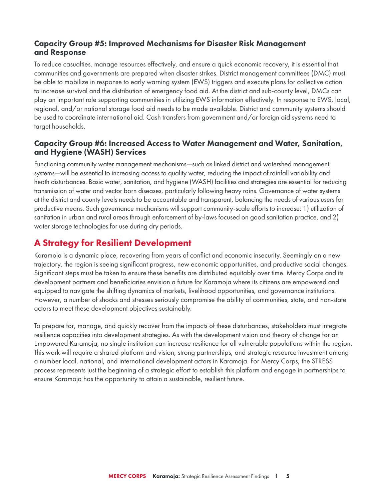#### Capacity Group #5: Improved Mechanisms for Disaster Risk Management and Response

To reduce casualties, manage resources effectively, and ensure a quick economic recovery, it is essential that communities and governments are prepared when disaster strikes. District management committees (DMC) must be able to mobilize in response to early warning system (EWS) triggers and execute plans for collective action to increase survival and the distribution of emergency food aid. At the district and sub-county level, DMCs can play an important role supporting communities in utilizing EWS information effectively. In response to EWS, local, regional, and/or national storage food aid needs to be made available. District and community systems should be used to coordinate international aid. Cash transfers from government and/or foreign aid systems need to target households.

#### Capacity Group #6: Increased Access to Water Management and Water, Sanitation, and Hygiene (WASH) Services

Functioning community water management mechanisms—such as linked district and watershed management systems—will be essential to increasing access to quality water, reducing the impact of rainfall variability and heath disturbances. Basic water, sanitation, and hygiene (WASH) facilities and strategies are essential for reducing transmission of water and vector born diseases, particularly following heavy rains. Governance of water systems at the district and county levels needs to be accountable and transparent, balancing the needs of various users for productive means. Such governance mechanisms will support community-scale efforts to increase: 1) utilization of sanitation in urban and rural areas through enforcement of by-laws focused on good sanitation practice, and 2) water storage technologies for use during dry periods.

### A Strategy for Resilient Development

Karamoja is a dynamic place, recovering from years of conflict and economic insecurity. Seemingly on a new trajectory, the region is seeing significant progress, new economic opportunities, and productive social changes. Significant steps must be taken to ensure these benefits are distributed equitably over time. Mercy Corps and its development partners and beneficiaries envision a future for Karamoja where its citizens are empowered and equipped to navigate the shifting dynamics of markets, livelihood opportunities, and governance institutions. However, a number of shocks and stresses seriously compromise the ability of communities, state, and non-state actors to meet these development objectives sustainably.

To prepare for, manage, and quickly recover from the impacts of these disturbances, stakeholders must integrate resilience capacities into development strategies. As with the development vision and theory of change for an Empowered Karamoja, no single institution can increase resilience for all vulnerable populations within the region. This work will require a shared platform and vision, strong partnerships, and strategic resource investment among a number local, national, and international development actors in Karamoja. For Mercy Corps, the STRESS process represents just the beginning of a strategic effort to establish this platform and engage in partnerships to ensure Karamoja has the opportunity to attain a sustainable, resilient future.